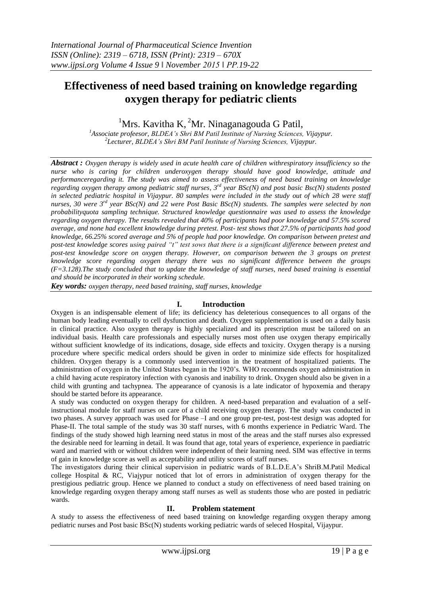# **Effectiveness of need based training on knowledge regarding oxygen therapy for pediatric clients**

<sup>1</sup>Mrs. Kavitha K,  ${}^{2}$ Mr. Ninaganagouda G Patil,

*<sup>1</sup>Associate profeesor, BLDEA's Shri BM Patil Institute of Nursing Sciences, Vijaypur. 2 Lecturer, BLDEA's Shri BM Patil Institute of Nursing Sciences, Vijaypur.*

*Abstract : Oxygen therapy is widely used in acute health care of children withrespiratory insufficiency so the nurse who is caring for children underoxygen therapy should have good knowledge, attitude and performanceregarding it. The study was aimed to assess effectiveness of need based training on knowledge regarding oxygen therapy among pediatric staff nurses, 3rd year BSc(N) and post basic Bsc(N) students posted in selected pediatric hospital in Vijaypur. 80 samples were included in the study out of which 28 were staff nurses, 30 were 3 rd year BSc(N) and 22 were Post Basic BSc(N) students. The samples were selected by non probabilityquota sampling technique. Structured knowledge questionnaire was used to assess the knowledge regarding oxygen therapy. The results revealed that 40% of participants had poor knowledge and 57.5% scored average, and none had excellent knowledge during pretest. Post- test shows that 27.5% of participants had good knowledge, 66.25% scored average and 5% of people had poor knowledge. On comparison between pretest and post-test knowledge scores using paired "t" test sows that there is a significant difference between pretest and post-test knowledge score on oxygen therapy. However, on comparison between the 3 groups on pretest knowledge score regarding oxygen therapy there was no significant difference between the groups (F=3.128).The study concluded that to update the knowledge of staff nurses, need based training is essential and should be incorporated in their working schedule.*

*Key words: oxygen therapy, need based training, staff nurses, knowledge*

# **I. Introduction**

Oxygen is an indispensable element of life; its deficiency has deleterious consequences to all organs of the human body leading eventually to cell dysfunction and death. Oxygen supplementation is used on a daily basis in clinical practice. Also oxygen therapy is highly specialized and its prescription must be tailored on an individual basis. Health care professionals and especially nurses most often use oxygen therapy empirically without sufficient knowledge of its indications, dosage, side effects and toxicity. Oxygen therapy is a nursing procedure where specific medical orders should be given in order to minimize side effects for hospitalized children. Oxygen therapy is a commonly used intervention in the treatment of hospitalized patients. The administration of oxygen in the United States began in the 1920's. WHO recommends oxygen administration in a child having acute respiratory infection with cyanosis and inability to drink. Oxygen should also be given in a child with grunting and tachypnea. The appearance of cyanosis is a late indicator of hypoxemia and therapy should be started before its appearance.

A study was conducted on oxygen therapy for children. A need-based preparation and evaluation of a selfinstructional module for staff nurses on care of a child receiving oxygen therapy. The study was conducted in two phases. A survey approach was used for Phase –I and one group pre-test, post-test design was adopted for Phase-II. The total sample of the study was 30 staff nurses, with 6 months experience in Pediatric Ward. The findings of the study showed high learning need status in most of the areas and the staff nurses also expressed the desirable need for learning in detail. It was found that age, total years of experience, experience in paediatric ward and married with or without children were independent of their learning need. SIM was effective in terms of gain in knowledge score as well as acceptability and utility scores of staff nurses.

The investigators during their clinical supervision in pediatric wards of B.L.D.E.A's ShriB.M.Patil Medical college Hospital & RC, Viajypur noticed that lot of errors in administration of oxygen therapy for the prestigious pediatric group. Hence we planned to conduct a study on effectiveness of need based training on knowledge regarding oxygen therapy among staff nurses as well as students those who are posted in pediatric wards.

#### **II. Problem statement**

A study to assess the effectiveness of need based training on knowledge regarding oxygen therapy among pediatric nurses and Post basic BSc(N) students working pediatric wards of seleced Hospital, Vijaypur.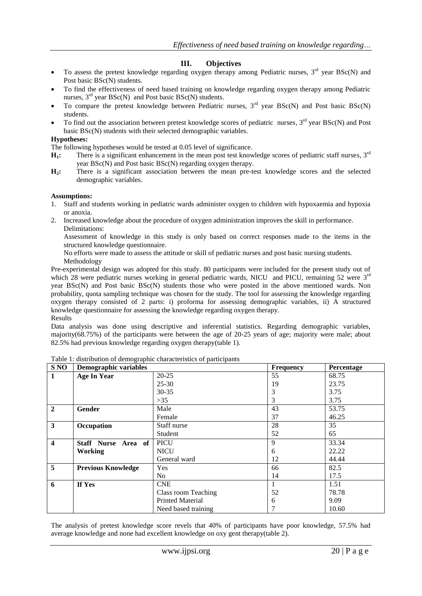# **III. Objectives**

- To assess the pretest knowledge regarding oxygen therapy among Pediatric nurses,  $3<sup>rd</sup>$  year BSc(N) and Post basic BSc(N) students.
- To find the effectiveness of need based training on knowledge regarding oxygen therapy among Pediatric nurses,  $3<sup>rd</sup>$  year BSc(N) and Post basic BSc(N) students.
- To compare the pretest knowledge between Pediatric nurses,  $3<sup>rd</sup>$  year BSc(N) and Post basic BSc(N) students.
- To find out the association between pretest knowledge scores of pediatric nurses,  $3<sup>rd</sup>$  year BSc(N) and Post basic BSc(N) students with their selected demographic variables.

#### **Hypotheses:**

The following hypotheses would be tested at 0.05 level of significance.

- **H<sub>1</sub>:** There is a significant enhancement in the mean post test knowledge scores of pediatric staff nurses, 3<sup>rd</sup> year BSc(N) and Post basic BSc(N) regarding oxygen therapy.
- **H2:** There is a significant association between the mean pre-test knowledge scores and the selected demographic variables.

#### **Assumptions:**

- 1. Staff and students working in pediatric wards administer oxygen to children with hypoxaemia and hypoxia or anoxia.
- 2. Increased knowledge about the procedure of oxygen administration improves the skill in performance. Delimitations:

Assessment of knowledge in this study is only based on correct responses made to the items in the structured knowledge questionnaire.

No efforts were made to assess the attitude or skill of pediatric nurses and post basic nursing students. Methodology

Pre-experimental design was adopted for this study. 80 participants were included for the present study out of which 28 were pediatric nurses working in general pediatric wards, NICU and PICU, remaining 52 were 3<sup>rd</sup> year BSc(N) and Post basic BSc(N) students those who were posted in the above mentioned wards. Non probability, quota sampling technique was chosen for the study. The tool for assessing the knowledge regarding oxygen therapy consisted of 2 parts: i) proforma for assessing demographic variables, ii) A structured knowledge questionnaire for assessing the knowledge regarding oxygen therapy. Results

Data analysis was done using descriptive and inferential statistics. Regarding demographic variables, majority(68.75%) of the participants were between the age of 20-25 years of age; majority were male; about 82.5% had previous knowledge regarding oxygen therapy(table 1).

| S NO                    | Demographic variables     |                         | Frequency | <b>Percentage</b> |
|-------------------------|---------------------------|-------------------------|-----------|-------------------|
| 1                       | <b>Age In Year</b>        | $20 - 25$               | 55        | 68.75             |
|                         |                           | $25 - 30$               | 19        | 23.75             |
|                         |                           | $30 - 35$               | 3         | 3.75              |
|                         |                           | $>35$                   | 3         | 3.75              |
| $\overline{2}$          | Gender                    | Male                    | 43        | 53.75             |
|                         |                           | Female                  | 37        | 46.25             |
| $\overline{\mathbf{3}}$ | Occupation                | Staff nurse             | 28        | 35                |
|                         |                           | Student                 | 52        | 65                |
| $\overline{\mathbf{4}}$ | Staff Nurse Area of       | <b>PICU</b>             | 9         | 33.34             |
|                         | <b>Working</b>            | <b>NICU</b>             | 6         | 22.22             |
|                         |                           | General ward            | 12        | 44.44             |
| $\overline{5}$          | <b>Previous Knowledge</b> | <b>Yes</b>              | 66        | 82.5              |
|                         |                           | N <sub>o</sub>          | 14        | 17.5              |
| 6                       | If Yes                    | <b>CNE</b>              |           | 1.51              |
|                         |                           | Class room Teaching     | 52        | 78.78             |
|                         |                           | <b>Printed Material</b> | 6         | 9.09              |
|                         |                           | Need based training     | 7         | 10.60             |

Table 1: distribution of demographic characteristics of participants

The analysis of pretest knowledge score revels that 40% of participants have poor knowledge, 57.5% had average knowledge and none had excellent knowledge on oxy gent therapy(table 2).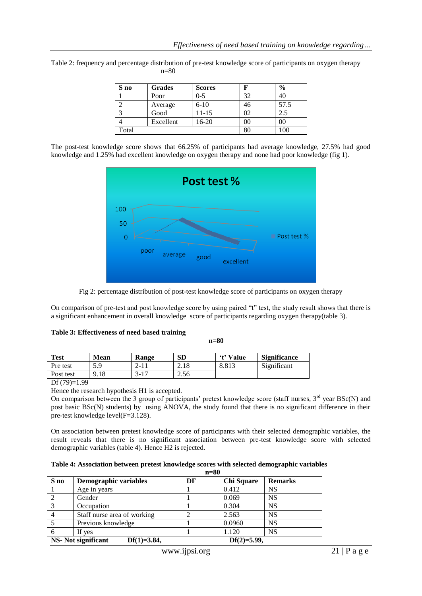| S no  | <b>Grades</b> | <b>Scores</b> |    | $\%$ |
|-------|---------------|---------------|----|------|
|       | Poor          | $0 - 5$       | 32 | 40   |
|       | Average       | $6 - 10$      | 46 | 57.5 |
|       | Good          | $11 - 15$     | 92 |      |
|       | Excellent     | 16-20         |    | 00   |
| Total |               |               |    |      |

Table 2: frequency and percentage distribution of pre-test knowledge score of participants on oxygen therapy n=80

The post-test knowledge score shows that 66.25% of participants had average knowledge, 27.5% had good knowledge and 1.25% had excellent knowledge on oxygen therapy and none had poor knowledge (fig 1).





On comparison of pre-test and post knowledge score by using paired "t" test, the study result shows that there is a significant enhancement in overall knowledge score of participants regarding oxygen therapy(table 3).

| Table 3: Effectiveness of need based training |  |  |  |  |  |
|-----------------------------------------------|--|--|--|--|--|
|-----------------------------------------------|--|--|--|--|--|

 **n=80**

| <b>Test</b> | <b>Mean</b> | <b>Range</b>  | <b>SD</b> | 't' Value | <b>Significance</b> |
|-------------|-------------|---------------|-----------|-----------|---------------------|
| Pre test    | 5Ο<br>J.J   | . <b>__</b>   | 2.18      | 8.813     | Significant         |
| Post test   | 9.18        | 17<br>$3 - 1$ | 2.56      |           |                     |

Df (79)=1.99

Hence the research hypothesis H1 is accepted.

On comparison between the 3 group of participants' pretest knowledge score (staff nurses,  $3<sup>rd</sup>$  year BSc(N) and post basic BSc(N) students) by using ANOVA, the study found that there is no significant difference in their pre-test knowledge level(F=3.128).

On association between pretest knowledge score of participants with their selected demographic variables, the result reveals that there is no significant association between pre-test knowledge score with selected demographic variables (table 4). Hence H2 is rejected.

| Table 4: Association between pretest knowledge scores with selected demographic variables |  |  |  |  |  |
|-------------------------------------------------------------------------------------------|--|--|--|--|--|
|-------------------------------------------------------------------------------------------|--|--|--|--|--|

|              | $n=80$                                      |    |                |                |  |  |
|--------------|---------------------------------------------|----|----------------|----------------|--|--|
| S no         | Demographic variables                       | DF | Chi Square     | <b>Remarks</b> |  |  |
|              | Age in years                                |    | 0.412          | <b>NS</b>      |  |  |
|              | Gender                                      |    | 0.069          | <b>NS</b>      |  |  |
| $\mathbf{c}$ | Occupation                                  |    | 0.304          | <b>NS</b>      |  |  |
|              | Staff nurse area of working                 |    | 2.563          | <b>NS</b>      |  |  |
|              | Previous knowledge                          |    | 0.0960         | <b>NS</b>      |  |  |
|              | If yes                                      |    | 1.120          | <b>NS</b>      |  |  |
|              | $Df(1)=3.84,$<br><b>NS-</b> Not significant |    | $Df(2)=5.99$ , |                |  |  |